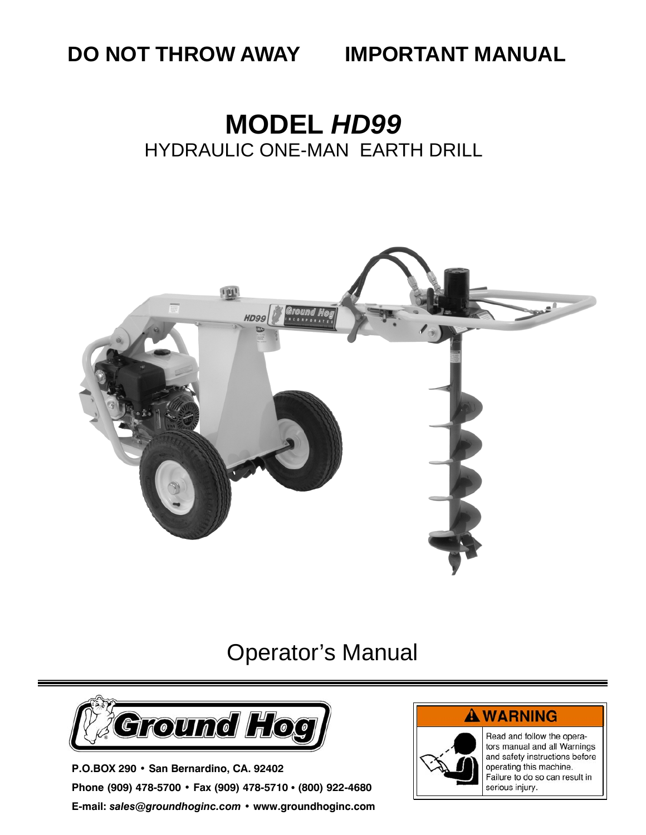**DO NOT THROW AWAY IMPORTANT MANUAL** 

# **MODEL** *HD99*  HYDRAULIC ONE-MAN EARTH DRILL



### Operator's Manual



**P.O.BOX 290 • San Bernardino, CA. 92402 Phone (909) 478-5700 • Fax (909) 478-5710 • (800) 922-4680 E-mail:** *sales@groundhoginc.com* **• www.groundhoginc.com** 

#### **A WARNING**



Read and follow the operators manual and all Warnings and safety instructions before operating this machine. Failure to do so can result in serious injury.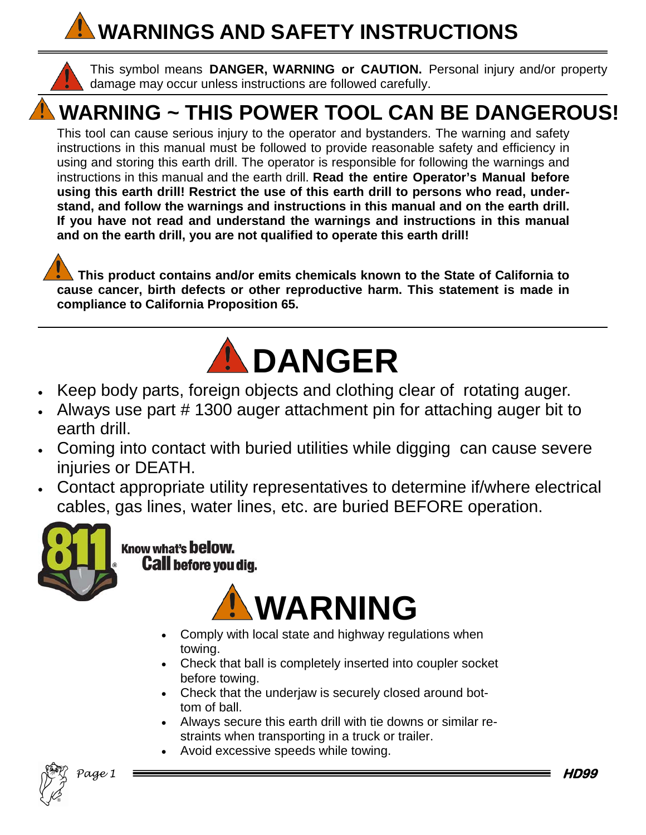# **WARNINGS AND SAFETY INSTRUCTIONS**



This symbol means **DANGER, WARNING or CAUTION.** Personal injury and/or property damage may occur unless instructions are followed carefully.

# **WARNING ~ THIS POWER TOOL CAN BE DANGEROUS!**

This tool can cause serious injury to the operator and bystanders. The warning and safety instructions in this manual must be followed to provide reasonable safety and efficiency in using and storing this earth drill. The operator is responsible for following the warnings and instructions in this manual and the earth drill. **Read the entire Operator's Manual before using this earth drill! Restrict the use of this earth drill to persons who read, understand, and follow the warnings and instructions in this manual and on the earth drill. If you have not read and understand the warnings and instructions in this manual and on the earth drill, you are not qualified to operate this earth drill!** 



 **This product contains and/or emits chemicals known to the State of California to cause cancer, birth defects or other reproductive harm. This statement is made in compliance to California Proposition 65.** 



- Keep body parts, foreign objects and clothing clear of rotating auger.
- Always use part # 1300 auger attachment pin for attaching auger bit to earth drill.
- Coming into contact with buried utilities while digging can cause severe injuries or DEATH.
- Contact appropriate utility representatives to determine if/where electrical cables, gas lines, water lines, etc. are buried BEFORE operation.



Know what's below. **Call before you dig.** 



- Comply with local state and highway regulations when towing.
- Check that ball is completely inserted into coupler socket before towing.
- Check that the underjaw is securely closed around bottom of ball.
- Always secure this earth drill with tie downs or similar restraints when transporting in a truck or trailer.
- Avoid excessive speeds while towing.



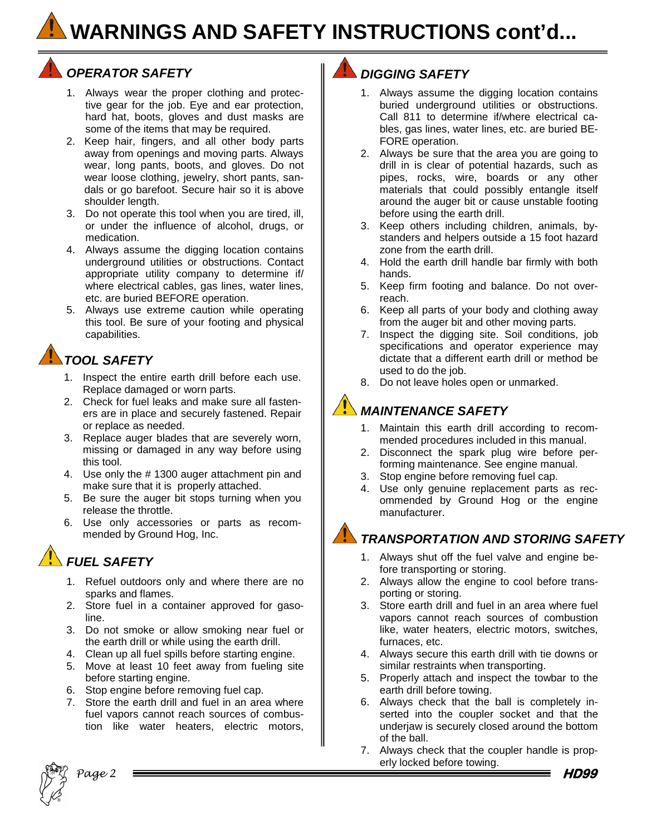### **WARNINGS AND SAFETY INSTRUCTIONS cont'd...**

#### **OPERATOR SAFETY**  $\parallel$  **DIGGING SAFETY**

- 1. Always wear the proper clothing and protective gear for the job. Eye and ear protection, hard hat, boots, gloves and dust masks are some of the items that may be required.
- 2. Keep hair, fingers, and all other body parts away from openings and moving parts. Always wear, long pants, boots, and gloves. Do not wear loose clothing, jewelry, short pants, sandals or go barefoot. Secure hair so it is above shoulder length.
- 3. Do not operate this tool when you are tired, ill, or under the influence of alcohol, drugs, or medication.
- 4. Always assume the digging location contains underground utilities or obstructions. Contact appropriate utility company to determine if/ where electrical cables, gas lines, water lines, etc. are buried BEFORE operation.
- 5. Always use extreme caution while operating this tool. Be sure of your footing and physical capabilities.

#### *TOOL SAFETY*

- 1. Inspect the entire earth drill before each use. Replace damaged or worn parts.
- 2. Check for fuel leaks and make sure all fasteners are in place and securely fastened. Repair or replace as needed.
- 3. Replace auger blades that are severely worn, missing or damaged in any way before using this tool.
- 4. Use only the # 1300 auger attachment pin and make sure that it is properly attached.
- 5. Be sure the auger bit stops turning when you release the throttle.
- 6. Use only accessories or parts as recommended by Ground Hog, Inc.

#### *FUEL SAFETY*

- 1. Refuel outdoors only and where there are no sparks and flames.
- 2. Store fuel in a container approved for gasoline.
- 3. Do not smoke or allow smoking near fuel or the earth drill or while using the earth drill.
- 4. Clean up all fuel spills before starting engine.
- 5. Move at least 10 feet away from fueling site before starting engine.
- 6. Stop engine before removing fuel cap.
- 7. Store the earth drill and fuel in an area where fuel vapors cannot reach sources of combustion like water heaters, electric motors,

- 1. Always assume the digging location contains buried underground utilities or obstructions. Call 811 to determine if/where electrical cables, gas lines, water lines, etc. are buried BE-FORE operation.
- 2. Always be sure that the area you are going to drill in is clear of potential hazards, such as pipes, rocks, wire, boards or any other materials that could possibly entangle itself around the auger bit or cause unstable footing before using the earth drill.
- 3. Keep others including children, animals, bystanders and helpers outside a 15 foot hazard zone from the earth drill.
- 4. Hold the earth drill handle bar firmly with both hands.
- 5. Keep firm footing and balance. Do not overreach.
- 6. Keep all parts of your body and clothing away from the auger bit and other moving parts.
- 7. Inspect the digging site. Soil conditions, job specifications and operator experience may dictate that a different earth drill or method be used to do the job.
- 8. Do not leave holes open or unmarked.

### *MAINTENANCE SAFETY*

- 1. Maintain this earth drill according to recommended procedures included in this manual.
- 2. Disconnect the spark plug wire before performing maintenance. See engine manual.
- 3. Stop engine before removing fuel cap.
- 4. Use only genuine replacement parts as recommended by Ground Hog or the engine manufacturer.

#### *TRANSPORTATION AND STORING SAFETY*

- 1. Always shut off the fuel valve and engine before transporting or storing.
- 2. Always allow the engine to cool before transporting or storing.
- 3. Store earth drill and fuel in an area where fuel vapors cannot reach sources of combustion like, water heaters, electric motors, switches, furnaces, etc.
- 4. Always secure this earth drill with tie downs or similar restraints when transporting.
- 5. Properly attach and inspect the towbar to the earth drill before towing.
- 6. Always check that the ball is completely inserted into the coupler socket and that the underjaw is securely closed around the bottom of the ball.
- 7. Always check that the coupler handle is properly locked before towing. **HD99**

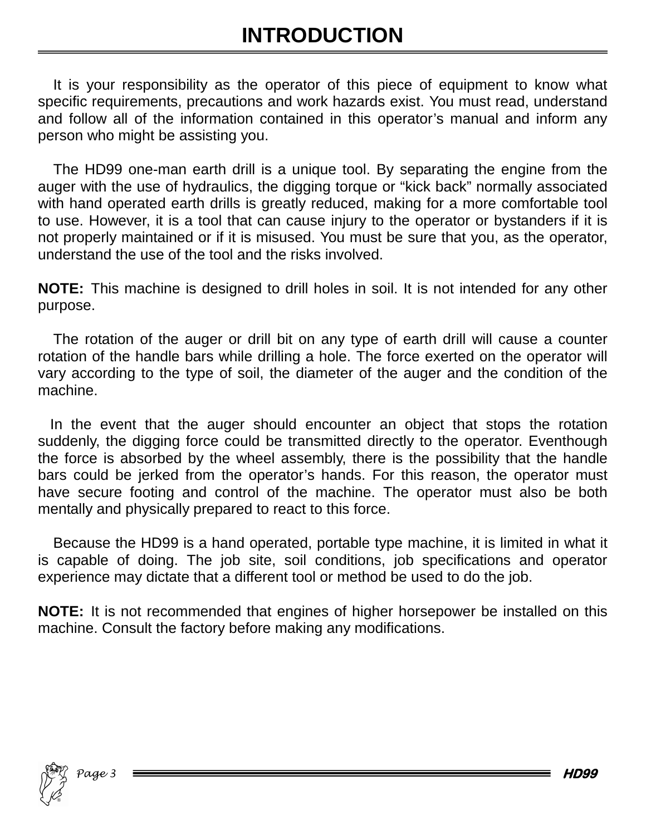It is your responsibility as the operator of this piece of equipment to know what specific requirements, precautions and work hazards exist. You must read, understand and follow all of the information contained in this operator's manual and inform any person who might be assisting you.

The HD99 one-man earth drill is a unique tool. By separating the engine from the auger with the use of hydraulics, the digging torque or "kick back" normally associated with hand operated earth drills is greatly reduced, making for a more comfortable tool to use. However, it is a tool that can cause injury to the operator or bystanders if it is not properly maintained or if it is misused. You must be sure that you, as the operator, understand the use of the tool and the risks involved.

**NOTE:** This machine is designed to drill holes in soil. It is not intended for any other purpose.

The rotation of the auger or drill bit on any type of earth drill will cause a counter rotation of the handle bars while drilling a hole. The force exerted on the operator will vary according to the type of soil, the diameter of the auger and the condition of the machine.

 In the event that the auger should encounter an object that stops the rotation suddenly, the digging force could be transmitted directly to the operator. Eventhough the force is absorbed by the wheel assembly, there is the possibility that the handle bars could be jerked from the operator's hands. For this reason, the operator must have secure footing and control of the machine. The operator must also be both mentally and physically prepared to react to this force.

Because the HD99 is a hand operated, portable type machine, it is limited in what it is capable of doing. The job site, soil conditions, job specifications and operator experience may dictate that a different tool or method be used to do the job.

**NOTE:** It is not recommended that engines of higher horsepower be installed on this machine. Consult the factory before making any modifications.

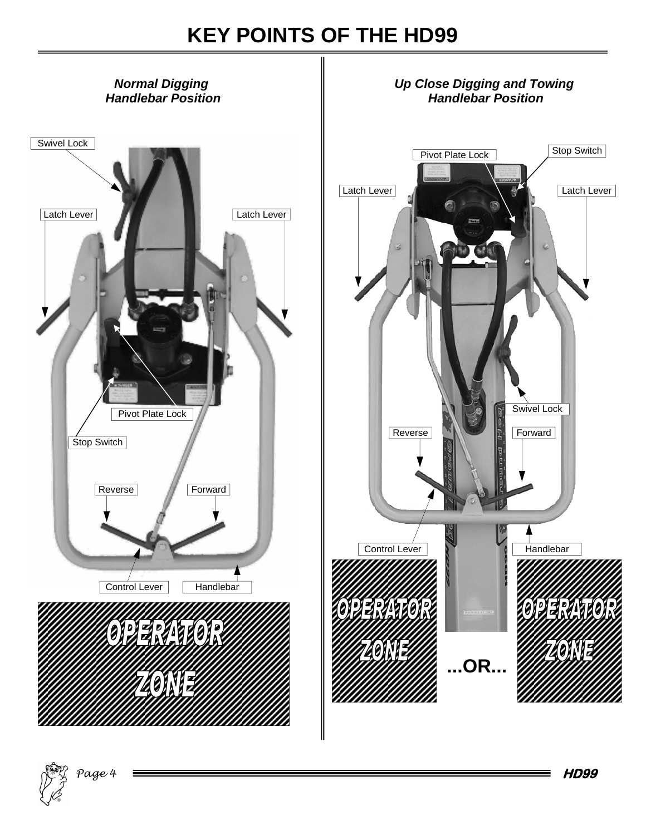### **KEY POINTS OF THE HD99**



®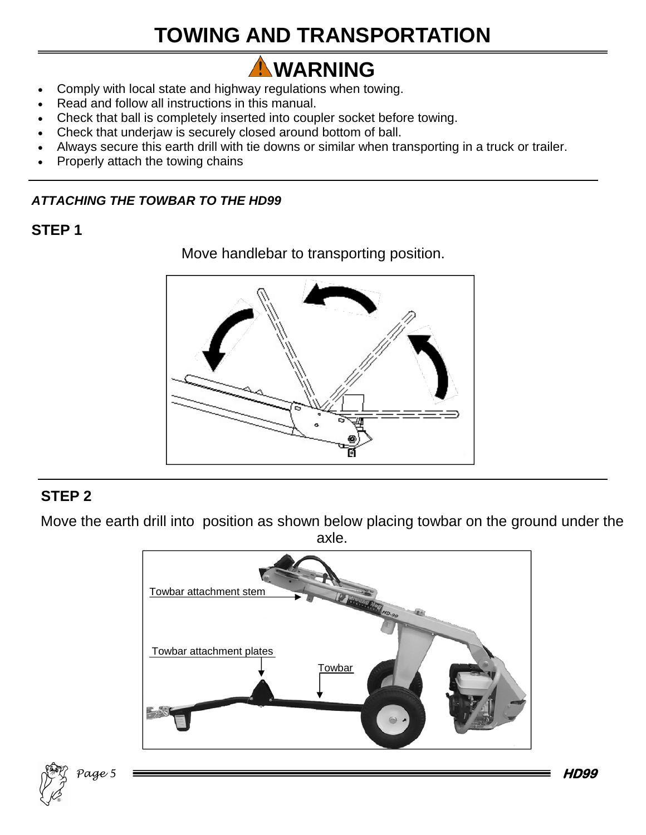## **TOWING AND TRANSPORTATION**

# **AWARNING**

- Comply with local state and highway regulations when towing.
- Read and follow all instructions in this manual.
- Check that ball is completely inserted into coupler socket before towing.
- Check that underjaw is securely closed around bottom of ball.
- Always secure this earth drill with tie downs or similar when transporting in a truck or trailer.
- Properly attach the towing chains

#### *ATTACHING THE TOWBAR TO THE HD99*

#### **STEP 1**

Move handlebar to transporting position.



#### **STEP 2**

Move the earth drill into position as shown below placing towbar on the ground under the axle.



**HD99** 

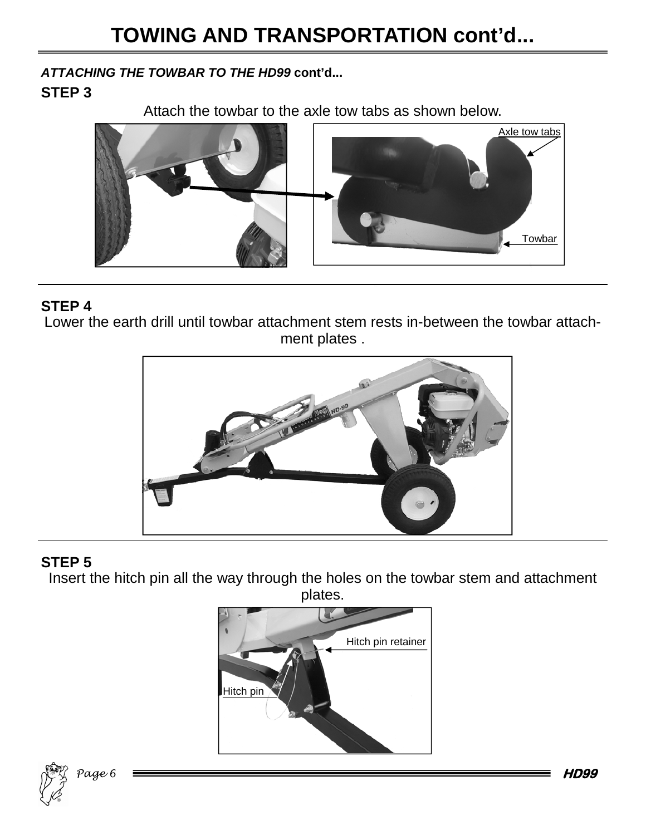*ATTACHING THE TOWBAR TO THE HD99* **cont'd...**

#### **STEP 3**

Attach the towbar to the axle tow tabs as shown below.



#### **STEP 4**

Lower the earth drill until towbar attachment stem rests in-between the towbar attachment plates .



#### **STEP 5**

Insert the hitch pin all the way through the holes on the towbar stem and attachment plates.





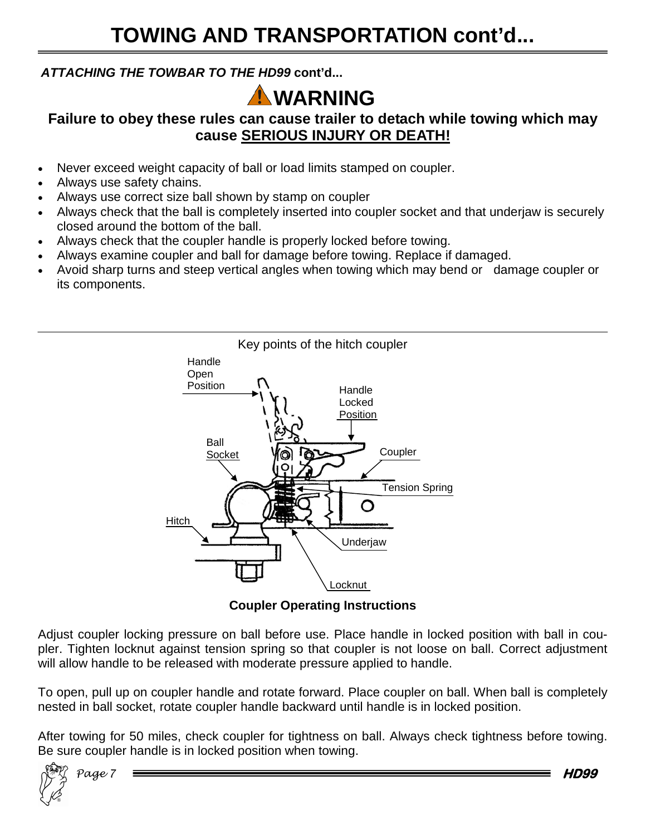#### *ATTACHING THE TOWBAR TO THE HD99* **cont'd...**

### **WARNING**

#### **Failure to obey these rules can cause trailer to detach while towing which may cause SERIOUS INJURY OR DEATH!**

- Never exceed weight capacity of ball or load limits stamped on coupler.
- Always use safety chains.
- Always use correct size ball shown by stamp on coupler
- Always check that the ball is completely inserted into coupler socket and that underjaw is securely closed around the bottom of the ball.
- Always check that the coupler handle is properly locked before towing.
- Always examine coupler and ball for damage before towing. Replace if damaged.
- Avoid sharp turns and steep vertical angles when towing which may bend or damage coupler or its components.



**Coupler Operating Instructions** 

Adjust coupler locking pressure on ball before use. Place handle in locked position with ball in coupler. Tighten locknut against tension spring so that coupler is not loose on ball. Correct adjustment will allow handle to be released with moderate pressure applied to handle.

To open, pull up on coupler handle and rotate forward. Place coupler on ball. When ball is completely nested in ball socket, rotate coupler handle backward until handle is in locked position.

After towing for 50 miles, check coupler for tightness on ball. Always check tightness before towing. Be sure coupler handle is in locked position when towing.



**HD99**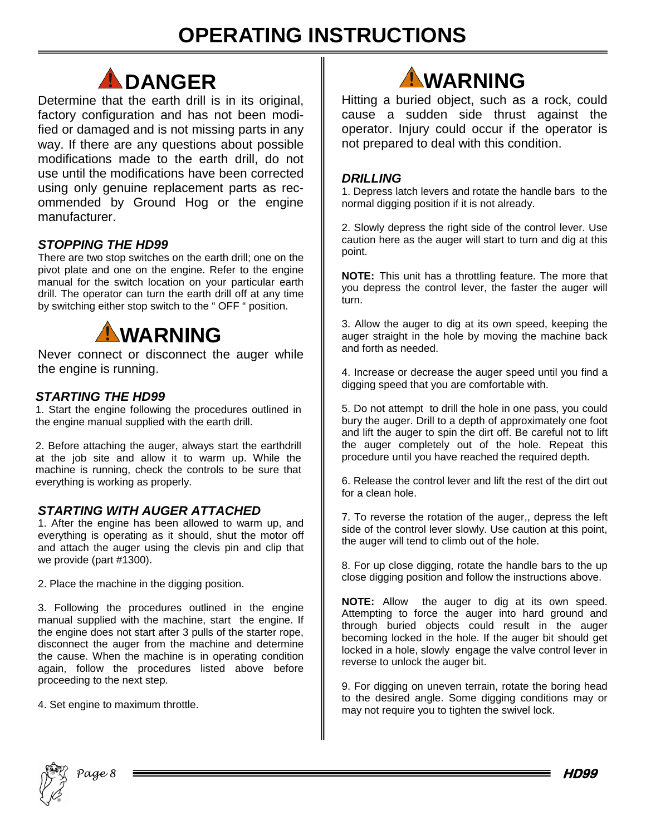### **OPERATING INSTRUCTIONS**



Determine that the earth drill is in its original, factory configuration and has not been modified or damaged and is not missing parts in any way. If there are any questions about possible modifications made to the earth drill, do not use until the modifications have been corrected using only genuine replacement parts as recommended by Ground Hog or the engine manufacturer.

#### *STOPPING THE HD99*

There are two stop switches on the earth drill; one on the pivot plate and one on the engine. Refer to the engine manual for the switch location on your particular earth drill. The operator can turn the earth drill off at any time by switching either stop switch to the " OFF " position.



Never connect or disconnect the auger while the engine is running.

#### *STARTING THE HD99*

1. Start the engine following the procedures outlined in the engine manual supplied with the earth drill.

2. Before attaching the auger, always start the earthdrill at the job site and allow it to warm up. While the machine is running, check the controls to be sure that everything is working as properly.

#### *STARTING WITH AUGER ATTACHED*

1. After the engine has been allowed to warm up, and everything is operating as it should, shut the motor off and attach the auger using the clevis pin and clip that we provide (part #1300).

2. Place the machine in the digging position.

3. Following the procedures outlined in the engine manual supplied with the machine, start the engine. If the engine does not start after 3 pulls of the starter rope, disconnect the auger from the machine and determine the cause. When the machine is in operating condition again, follow the procedures listed above before proceeding to the next step.

4. Set engine to maximum throttle.



Hitting a buried object, such as a rock, could cause a sudden side thrust against the operator. Injury could occur if the operator is not prepared to deal with this condition.

#### *DRILLING*

1. Depress latch levers and rotate the handle bars to the normal digging position if it is not already.

2. Slowly depress the right side of the control lever. Use caution here as the auger will start to turn and dig at this point.

**NOTE:** This unit has a throttling feature. The more that you depress the control lever, the faster the auger will turn.

3. Allow the auger to dig at its own speed, keeping the auger straight in the hole by moving the machine back and forth as needed.

4. Increase or decrease the auger speed until you find a digging speed that you are comfortable with.

5. Do not attempt to drill the hole in one pass, you could bury the auger. Drill to a depth of approximately one foot and lift the auger to spin the dirt off. Be careful not to lift the auger completely out of the hole. Repeat this procedure until you have reached the required depth.

6. Release the control lever and lift the rest of the dirt out for a clean hole.

7. To reverse the rotation of the auger,, depress the left side of the control lever slowly. Use caution at this point, the auger will tend to climb out of the hole.

8. For up close digging, rotate the handle bars to the up close digging position and follow the instructions above.

**NOTE:** Allow the auger to dig at its own speed. Attempting to force the auger into hard ground and through buried objects could result in the auger becoming locked in the hole. If the auger bit should get locked in a hole, slowly engage the valve control lever in reverse to unlock the auger bit.

9. For digging on uneven terrain, rotate the boring head to the desired angle. Some digging conditions may or may not require you to tighten the swivel lock.